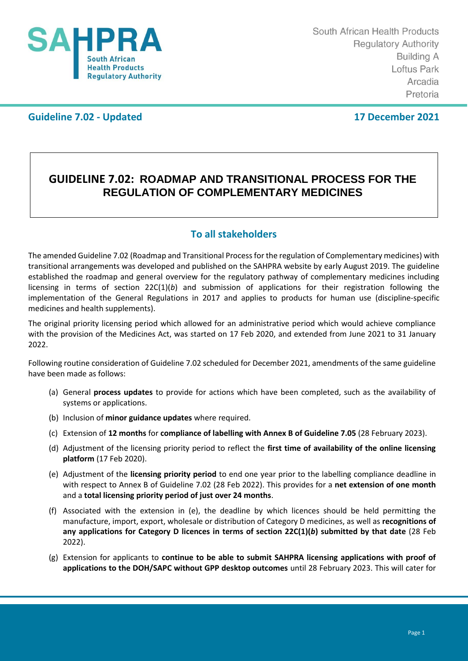

## **Guideline 7.02 - Updated 17 December 2021**

## **GUIDELINE 7.02: ROADMAP AND TRANSITIONAL PROCESS FOR THE REGULATION OF COMPLEMENTARY MEDICINES**

## **To all stakeholders**

The amended Guideline 7.02 (Roadmap and Transitional Process for the regulation of Complementary medicines) with transitional arrangements was developed and published on the SAHPRA website by early August 2019. The guideline established the roadmap and general overview for the regulatory pathway of complementary medicines including licensing in terms of section 22C(1)(*b*) and submission of applications for their registration following the implementation of the General Regulations in 2017 and applies to products for human use (discipline-specific medicines and health supplements).

The original priority licensing period which allowed for an administrative period which would achieve compliance with the provision of the Medicines Act, was started on 17 Feb 2020, and extended from June 2021 to 31 January 2022.

Following routine consideration of Guideline 7.02 scheduled for December 2021, amendments of the same guideline have been made as follows:

- (a) General **process updates** to provide for actions which have been completed, such as the availability of systems or applications.
- (b) Inclusion of **minor guidance updates** where required.
- (c) Extension of **12 months** for **compliance of labelling with Annex B of Guideline 7.05** (28 February 2023).
- (d) Adjustment of the licensing priority period to reflect the **first time of availability of the online licensing platform** (17 Feb 2020).
- (e) Adjustment of the **licensing priority period** to end one year prior to the labelling compliance deadline in with respect to Annex B of Guideline 7.02 (28 Feb 2022). This provides for a **net extension of one month** and a **total licensing priority period of just over 24 months**.
- (f) Associated with the extension in (e), the deadline by which licences should be held permitting the manufacture, import, export, wholesale or distribution of Category D medicines, as well as **recognitions of any applications for Category D licences in terms of section 22C(1)(***b***) submitted by that date** (28 Feb 2022).
- (g) Extension for applicants to **continue to be able to submit SAHPRA licensing applications with proof of applications to the DOH/SAPC without GPP desktop outcomes** until 28 February 2023. This will cater for